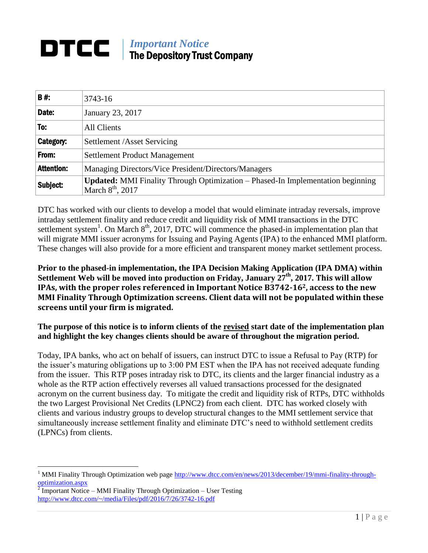#### *Important Notice* DTCC I The Depository Trust Company

| <b>B#:</b>        | 3743-16                                                                                                      |
|-------------------|--------------------------------------------------------------------------------------------------------------|
| Date:             | January 23, 2017                                                                                             |
| To:               | All Clients                                                                                                  |
| <b>Category:</b>  | Settlement /Asset Servicing                                                                                  |
| From:             | <b>Settlement Product Management</b>                                                                         |
| <b>Attention:</b> | Managing Directors/Vice President/Directors/Managers                                                         |
| Subject:          | <b>Updated:</b> MMI Finality Through Optimization – Phased-In Implementation beginning<br>March $8th$ , 2017 |

DTC has worked with our clients to develop a model that would eliminate intraday reversals, improve intraday settlement finality and reduce credit and liquidity risk of MMI transactions in the DTC settlement system<sup>1</sup>. On March  $8<sup>th</sup>$ , 2017, DTC will commence the phased-in implementation plan that will migrate MMI issuer acronyms for Issuing and Paying Agents (IPA) to the enhanced MMI platform. These changes will also provide for a more efficient and transparent money market settlement process.

## **Prior to the phased-in implementation, the IPA Decision Making Application (IPA DMA) within Settlement Web will be moved into production on Friday, January 27th, 2017. This will allow IPAs, with the proper roles referenced in Important Notice B3742-162, access to the new MMI Finality Through Optimization screens. Client data will not be populated within these screens until your firm is migrated.**

**The purpose of this notice is to inform clients of the revised start date of the implementation plan and highlight the key changes clients should be aware of throughout the migration period.**

Today, IPA banks, who act on behalf of issuers, can instruct DTC to issue a Refusal to Pay (RTP) for the issuer's maturing obligations up to 3:00 PM EST when the IPA has not received adequate funding from the issuer. This RTP poses intraday risk to DTC, its clients and the larger financial industry as a whole as the RTP action effectively reverses all valued transactions processed for the designated acronym on the current business day. To mitigate the credit and liquidity risk of RTPs, DTC withholds the two Largest Provisional Net Credits (LPNC2) from each client. DTC has worked closely with clients and various industry groups to develop structural changes to the MMI settlement service that simultaneously increase settlement finality and eliminate DTC's need to withhold settlement credits (LPNCs) from clients.

 $\overline{a}$ 

<sup>1</sup> MMI Finality Through Optimization web pag[e http://www.dtcc.com/en/news/2013/december/19/mmi-finality-through](http://www.dtcc.com/en/news/2013/december/19/mmi-finality-through-optimization.aspx)[optimization.aspx](http://www.dtcc.com/en/news/2013/december/19/mmi-finality-through-optimization.aspx)

Important Notice – MMI Finality Through Optimization – User Testing <http://www.dtcc.com/~/media/Files/pdf/2016/7/26/3742-16.pdf>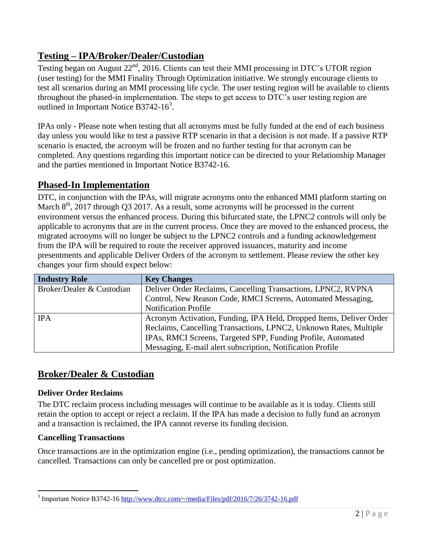# **Testing – IPA/Broker/Dealer/Custodian**

Testing began on August  $22<sup>nd</sup>$ , 2016. Clients can test their MMI processing in DTC's UTOR region (user testing) for the MMI Finality Through Optimization initiative. We strongly encourage clients to test all scenarios during an MMI processing life cycle. The user testing region will be available to clients throughout the phased-in implementation. The steps to get access to DTC's user testing region are outlined in Important Notice B3742-16<sup>3</sup>.

IPAs only - Please note when testing that all acronyms must be fully funded at the end of each business day unless you would like to test a passive RTP scenario in that a decision is not made. If a passive RTP scenario is enacted, the acronym will be frozen and no further testing for that acronym can be completed. Any questions regarding this important notice can be directed to your Relationship Manager and the parties mentioned in Important Notice B3742-16.

# **Phased-In Implementation**

DTC, in conjunction with the IPAs, will migrate acronyms onto the enhanced MMI platform starting on March  $8<sup>th</sup>$ , 2017 through Q3 2017. As a result, some acronyms will be processed in the current environment versus the enhanced process. During this bifurcated state, the LPNC2 controls will only be applicable to acronyms that are in the current process. Once they are moved to the enhanced process, the migrated acronyms will no longer be subject to the LPNC2 controls and a funding acknowledgement from the IPA will be required to route the receiver approved issuances, maturity and income presentments and applicable Deliver Orders of the acronym to settlement. Please review the other key changes your firm should expect below:

| <b>Industry Role</b>      | <b>Key Changes</b>                                                  |
|---------------------------|---------------------------------------------------------------------|
| Broker/Dealer & Custodian | Deliver Order Reclaims, Cancelling Transactions, LPNC2, RVPNA       |
|                           | Control, New Reason Code, RMCI Screens, Automated Messaging,        |
|                           | <b>Notification Profile</b>                                         |
| <b>IPA</b>                | Acronym Activation, Funding, IPA Held, Dropped Items, Deliver Order |
|                           | Reclaims, Cancelling Transactions, LPNC2, Unknown Rates, Multiple   |
|                           | IPAs, RMCI Screens, Targeted SPP, Funding Profile, Automated        |
|                           | Messaging, E-mail alert subscription, Notification Profile          |

# **Broker/Dealer & Custodian**

## **Deliver Order Reclaims**

The DTC reclaim process including messages will continue to be available as it is today. Clients still retain the option to accept or reject a reclaim. If the IPA has made a decision to fully fund an acronym and a transaction is reclaimed, the IPA cannot reverse its funding decision.

# **Cancelling Transactions**

 $\overline{a}$ 

Once transactions are in the optimization engine (i.e., pending optimization), the transactions cannot be cancelled. Transactions can only be cancelled pre or post optimization.

<sup>3</sup> Important Notice B3742-16<http://www.dtcc.com/~/media/Files/pdf/2016/7/26/3742-16.pdf>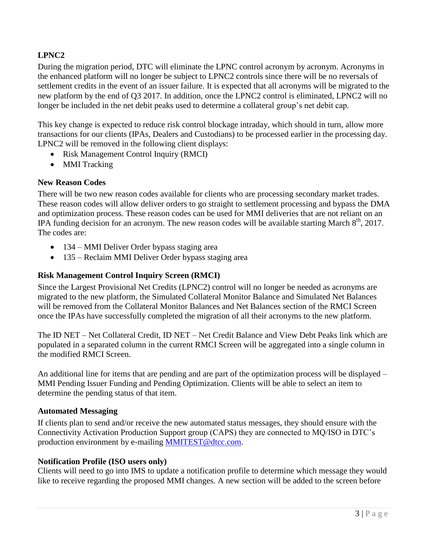# **LPNC2**

During the migration period, DTC will eliminate the LPNC control acronym by acronym. Acronyms in the enhanced platform will no longer be subject to LPNC2 controls since there will be no reversals of settlement credits in the event of an issuer failure. It is expected that all acronyms will be migrated to the new platform by the end of Q3 2017. In addition, once the LPNC2 control is eliminated, LPNC2 will no longer be included in the net debit peaks used to determine a collateral group's net debit cap.

This key change is expected to reduce risk control blockage intraday, which should in turn, allow more transactions for our clients (IPAs, Dealers and Custodians) to be processed earlier in the processing day. LPNC2 will be removed in the following client displays:

- Risk Management Control Inquiry (RMCI)
- MMI Tracking

#### **New Reason Codes**

There will be two new reason codes available for clients who are processing secondary market trades. These reason codes will allow deliver orders to go straight to settlement processing and bypass the DMA and optimization process. These reason codes can be used for MMI deliveries that are not reliant on an IPA funding decision for an acronym. The new reason codes will be available starting March  $8<sup>th</sup>$ , 2017. The codes are:

- 134 MMI Deliver Order bypass staging area
- 135 Reclaim MMI Deliver Order bypass staging area

#### **Risk Management Control Inquiry Screen (RMCI)**

Since the Largest Provisional Net Credits (LPNC2) control will no longer be needed as acronyms are migrated to the new platform, the Simulated Collateral Monitor Balance and Simulated Net Balances will be removed from the Collateral Monitor Balances and Net Balances section of the RMCI Screen once the IPAs have successfully completed the migration of all their acronyms to the new platform.

The ID NET – Net Collateral Credit, ID NET – Net Credit Balance and View Debt Peaks link which are populated in a separated column in the current RMCI Screen will be aggregated into a single column in the modified RMCI Screen.

An additional line for items that are pending and are part of the optimization process will be displayed – MMI Pending Issuer Funding and Pending Optimization. Clients will be able to select an item to determine the pending status of that item.

#### **Automated Messaging**

If clients plan to send and/or receive the new automated status messages, they should ensure with the Connectivity Activation Production Support group (CAPS) they are connected to MQ/ISO in DTC's production environment by e-mailing [MMITEST@dtcc.com.](mailto:MMITEST@dtcc.com)

#### **Notification Profile (ISO users only)**

Clients will need to go into IMS to update a notification profile to determine which message they would like to receive regarding the proposed MMI changes. A new section will be added to the screen before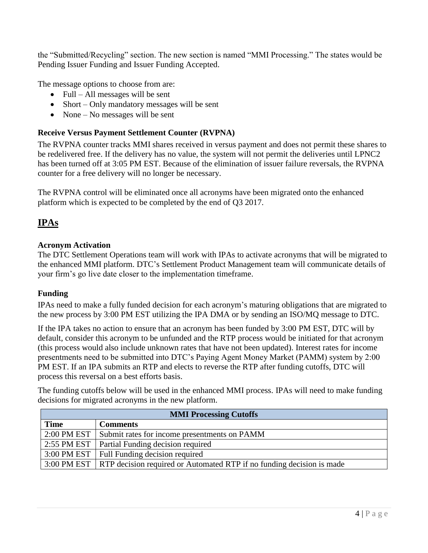the "Submitted/Recycling" section. The new section is named "MMI Processing." The states would be Pending Issuer Funding and Issuer Funding Accepted.

The message options to choose from are:

- Full All messages will be sent
- Short Only mandatory messages will be sent
- None No messages will be sent

## **Receive Versus Payment Settlement Counter (RVPNA)**

The RVPNA counter tracks MMI shares received in versus payment and does not permit these shares to be redelivered free. If the delivery has no value, the system will not permit the deliveries until LPNC2 has been turned off at 3:05 PM EST. Because of the elimination of issuer failure reversals, the RVPNA counter for a free delivery will no longer be necessary.

The RVPNA control will be eliminated once all acronyms have been migrated onto the enhanced platform which is expected to be completed by the end of Q3 2017.

# **IPAs**

#### **Acronym Activation**

The DTC Settlement Operations team will work with IPAs to activate acronyms that will be migrated to the enhanced MMI platform. DTC's Settlement Product Management team will communicate details of your firm's go live date closer to the implementation timeframe.

## **Funding**

IPAs need to make a fully funded decision for each acronym's maturing obligations that are migrated to the new process by 3:00 PM EST utilizing the IPA DMA or by sending an ISO/MQ message to DTC.

If the IPA takes no action to ensure that an acronym has been funded by 3:00 PM EST, DTC will by default, consider this acronym to be unfunded and the RTP process would be initiated for that acronym (this process would also include unknown rates that have not been updated). Interest rates for income presentments need to be submitted into DTC's Paying Agent Money Market (PAMM) system by 2:00 PM EST. If an IPA submits an RTP and elects to reverse the RTP after funding cutoffs, DTC will process this reversal on a best efforts basis.

The funding cutoffs below will be used in the enhanced MMI process. IPAs will need to make funding decisions for migrated acronyms in the new platform.

| <b>MMI Processing Cutoffs</b> |                                                                                     |  |  |  |  |  |  |
|-------------------------------|-------------------------------------------------------------------------------------|--|--|--|--|--|--|
| <b>Time</b>                   | <b>Comments</b>                                                                     |  |  |  |  |  |  |
| 2:00 PM EST                   | Submit rates for income presentments on PAMM                                        |  |  |  |  |  |  |
|                               | 2:55 PM EST   Partial Funding decision required                                     |  |  |  |  |  |  |
|                               | 3:00 PM EST   Full Funding decision required                                        |  |  |  |  |  |  |
|                               | 3:00 PM EST   RTP decision required or Automated RTP if no funding decision is made |  |  |  |  |  |  |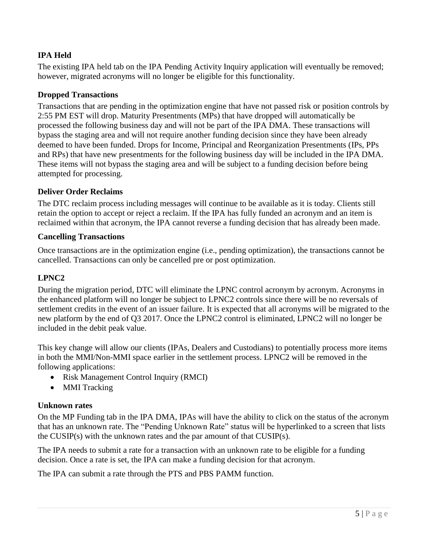# **IPA Held**

The existing IPA held tab on the IPA Pending Activity Inquiry application will eventually be removed; however, migrated acronyms will no longer be eligible for this functionality.

#### **Dropped Transactions**

Transactions that are pending in the optimization engine that have not passed risk or position controls by 2:55 PM EST will drop. Maturity Presentments (MPs) that have dropped will automatically be processed the following business day and will not be part of the IPA DMA. These transactions will bypass the staging area and will not require another funding decision since they have been already deemed to have been funded. Drops for Income, Principal and Reorganization Presentments (IPs, PPs and RPs) that have new presentments for the following business day will be included in the IPA DMA. These items will not bypass the staging area and will be subject to a funding decision before being attempted for processing.

#### **Deliver Order Reclaims**

The DTC reclaim process including messages will continue to be available as it is today. Clients still retain the option to accept or reject a reclaim. If the IPA has fully funded an acronym and an item is reclaimed within that acronym, the IPA cannot reverse a funding decision that has already been made.

#### **Cancelling Transactions**

Once transactions are in the optimization engine (i.e., pending optimization), the transactions cannot be cancelled. Transactions can only be cancelled pre or post optimization.

#### **LPNC2**

During the migration period, DTC will eliminate the LPNC control acronym by acronym. Acronyms in the enhanced platform will no longer be subject to LPNC2 controls since there will be no reversals of settlement credits in the event of an issuer failure. It is expected that all acronyms will be migrated to the new platform by the end of Q3 2017. Once the LPNC2 control is eliminated, LPNC2 will no longer be included in the debit peak value.

This key change will allow our clients (IPAs, Dealers and Custodians) to potentially process more items in both the MMI/Non-MMI space earlier in the settlement process. LPNC2 will be removed in the following applications:

- Risk Management Control Inquiry (RMCI)
- MMI Tracking

#### **Unknown rates**

On the MP Funding tab in the IPA DMA, IPAs will have the ability to click on the status of the acronym that has an unknown rate. The "Pending Unknown Rate" status will be hyperlinked to a screen that lists the CUSIP(s) with the unknown rates and the par amount of that CUSIP(s).

The IPA needs to submit a rate for a transaction with an unknown rate to be eligible for a funding decision. Once a rate is set, the IPA can make a funding decision for that acronym.

The IPA can submit a rate through the PTS and PBS PAMM function.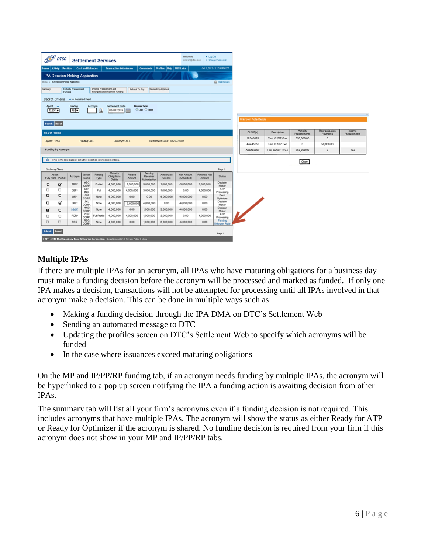|                                                                                                                                 | <b>DTCC</b>                                                                                                                        |              |                          | <b>Settlement Services</b>                                         |                                |                                                                                                       |                     |                                        | Welcome<br>amoran@dtcc.com   | > Log Out            | > Change Password            |                      |                                  |                 |                      |              |
|---------------------------------------------------------------------------------------------------------------------------------|------------------------------------------------------------------------------------------------------------------------------------|--------------|--------------------------|--------------------------------------------------------------------|--------------------------------|-------------------------------------------------------------------------------------------------------|---------------------|----------------------------------------|------------------------------|----------------------|------------------------------|----------------------|----------------------------------|-----------------|----------------------|--------------|
|                                                                                                                                 | Home   Activity   Position                                                                                                         |              | <b>Cash and Balances</b> |                                                                    | <b>Transaction Submission</b>  |                                                                                                       |                     | Commands   Profiles   Help   PBS Links |                              |                      | Oct 1, 2013 - 3:17:00 PM EDT |                      |                                  |                 |                      |              |
|                                                                                                                                 | <b>IPA Decision Making Application</b>                                                                                             |              |                          |                                                                    |                                |                                                                                                       |                     |                                        |                              |                      |                              |                      |                                  |                 |                      |              |
|                                                                                                                                 | Home > IPA Decision Moking Application<br><b>Print Results</b>                                                                     |              |                          |                                                                    |                                |                                                                                                       |                     |                                        |                              |                      |                              |                      |                                  |                 |                      |              |
| Summary                                                                                                                         | Income Presentment and<br>Maturity Presentment<br>Secondary Approval<br>Refund To Pay<br>Reorganization Payment Funding<br>Funding |              |                          |                                                                    |                                |                                                                                                       |                     |                                        |                              |                      |                              |                      |                                  |                 |                      |              |
|                                                                                                                                 |                                                                                                                                    |              |                          |                                                                    |                                |                                                                                                       |                     |                                        |                              |                      |                              |                      |                                  |                 |                      |              |
| Search Criteria * = Required Field                                                                                              |                                                                                                                                    |              |                          |                                                                    |                                |                                                                                                       |                     |                                        |                              |                      |                              |                      |                                  |                 |                      |              |
| <b>Display Type</b><br>Funding<br>Settlement Dote<br>Acronym<br>Agent :#<br>O List O Excel<br>AT<br>06/07/2015<br>$1250 -$<br>Q |                                                                                                                                    |              |                          |                                                                    |                                |                                                                                                       |                     |                                        |                              |                      |                              |                      |                                  |                 |                      |              |
|                                                                                                                                 |                                                                                                                                    |              |                          |                                                                    |                                |                                                                                                       |                     |                                        |                              |                      |                              |                      |                                  |                 |                      |              |
| Search Reset                                                                                                                    |                                                                                                                                    |              |                          |                                                                    |                                |                                                                                                       |                     |                                        |                              |                      | <b>Unknown Rate Details</b>  |                      |                                  |                 |                      |              |
|                                                                                                                                 |                                                                                                                                    |              |                          |                                                                    |                                |                                                                                                       |                     |                                        |                              |                      |                              |                      |                                  | Moturity        | Reorganization       | Income       |
| Search Results                                                                                                                  |                                                                                                                                    |              |                          |                                                                    |                                |                                                                                                       |                     |                                        |                              |                      |                              | CUSIP(s)             | Description                      | Presentments    | Payments             | Presentments |
| Agent: 1250                                                                                                                     |                                                                                                                                    |              | Funding: ALL             |                                                                    | Acronym: ALL                   |                                                                                                       |                     | Settlement Date: 06/07/2015            |                              |                      |                              | 12345678<br>44445555 | Test CUSIP One<br>Test CUSIP Two | 350,000.00<br>0 | $\circ$<br>50,000.00 |              |
|                                                                                                                                 | Funding by Acronym                                                                                                                 |              |                          |                                                                    |                                |                                                                                                       |                     |                                        |                              |                      |                              | ABC123DEF            | Test CUSIP Three                 | 250,000.00      | $\circ$              | Yes          |
|                                                                                                                                 |                                                                                                                                    |              |                          |                                                                    |                                |                                                                                                       |                     |                                        |                              |                      |                              |                      |                                  |                 |                      |              |
| <b>O</b>                                                                                                                        |                                                                                                                                    |              |                          | This is the last page of data that satisfies your search criterial |                                |                                                                                                       |                     |                                        |                              |                      |                              |                      |                                  | Close           |                      |              |
|                                                                                                                                 | Displaying 7 tems                                                                                                                  |              |                          |                                                                    |                                |                                                                                                       |                     |                                        |                              |                      | Page 1                       |                      |                                  |                 |                      |              |
|                                                                                                                                 | Action                                                                                                                             | Acronym      | Issuer                   | Funding                                                            | Moturity<br><b>Obligations</b> | Funded                                                                                                | Pending<br>Receiver | Authorized                             | Net Amount                   | <b>Potential Net</b> | <b>Stotus</b>                |                      |                                  |                 |                      |              |
|                                                                                                                                 | Fully Fund Partial                                                                                                                 |              | Name<br><b>ABC</b>       | Type                                                               | Debits                         | Amount                                                                                                | Authorization       | Credits                                | (Unfunded)                   | Amount               | Decision                     |                      |                                  |                 |                      |              |
| o<br>□                                                                                                                          | ⊠<br>o                                                                                                                             | ABC*<br>DEF* | CORP<br>DEF              | Portiol                                                            | 4,000,000                      | 1,000,000                                                                                             | 3,000,000           | 1,000,000                              | $-3,000,000$                 | 1,000,000            | Maker<br>ATP                 |                      |                                  |                 |                      |              |
| o                                                                                                                               | $\Box$                                                                                                                             | GHE*         | INC.<br>GHL              | Full                                                               | 4,000,000                      | 4,000,000<br>0.00                                                                                     | 3,000,000           | 1,000,000                              | 0.00                         | 4,000,000<br>0.00    | Processing<br>Pend           |                      |                                  |                 |                      |              |
| O                                                                                                                               | ଙ୍ଗ                                                                                                                                | JKL*         | CORP<br><b>JKL</b>       | None                                                               | 4,000,000<br>4,000,000         |                                                                                                       | 0.00<br>4,000,000   | 4,000,000<br>0.00                      | $-4,000,000$<br>$-4,000,000$ | 0.00                 | Optimiz er<br>Decision       |                      |                                  |                 |                      |              |
|                                                                                                                                 |                                                                                                                                    |              | CORP.<br>MNO             | None                                                               | 4,000,000                      | 2,000,000<br>0.00                                                                                     | 1,000,000           | 3,000,000                              | $-4,000,000$                 | 0.00                 | Maker<br>Decision            |                      |                                  |                 |                      |              |
| ⊠                                                                                                                               | O                                                                                                                                  | MNO*<br>PQR* | CORP.<br>PQR             | None<br><b>UI</b> Profile                                          | 4,000,000                      | 4,000,000                                                                                             | 1,000,000           | 3,000,000                              | 0.00                         | 4,000,000            | Maker<br>ATP                 |                      |                                  |                 |                      |              |
| O<br>□                                                                                                                          | O<br>$\Box$                                                                                                                        | REQ          | CORP.<br>REQ             | None                                                               | 4,000,000                      | 0.00                                                                                                  | 1,000,000           | 3,000,000                              | $-4,000,000$                 | 0.00                 | Processing<br>Pending        |                      |                                  |                 |                      |              |
|                                                                                                                                 |                                                                                                                                    |              | CORP.                    |                                                                    |                                |                                                                                                       |                     |                                        |                              |                      | <b>Jnknown Rate</b>          |                      |                                  |                 |                      |              |
| kubenit                                                                                                                         | Reset                                                                                                                              |              |                          |                                                                    |                                |                                                                                                       |                     |                                        |                              |                      | Page 1                       |                      |                                  |                 |                      |              |
|                                                                                                                                 |                                                                                                                                    |              |                          |                                                                    |                                | 0.2011 - 2013 The Depository Trust & Clearing Corporation   Legal Information   Privacy Policy   Meru |                     |                                        |                              |                      |                              |                      |                                  |                 |                      |              |

# **Multiple IPAs**

If there are multiple IPAs for an acronym, all IPAs who have maturing obligations for a business day must make a funding decision before the acronym will be processed and marked as funded. If only one IPA makes a decision, transactions will not be attempted for processing until all IPAs involved in that acronym make a decision. This can be done in multiple ways such as:

- Making a funding decision through the IPA DMA on DTC's Settlement Web
- Sending an automated message to DTC
- Updating the profiles screen on DTC's Settlement Web to specify which acronyms will be funded
- In the case where issuances exceed maturing obligations

On the MP and IP/PP/RP funding tab, if an acronym needs funding by multiple IPAs, the acronym will be hyperlinked to a pop up screen notifying the IPA a funding action is awaiting decision from other IPAs.

The summary tab will list all your firm's acronyms even if a funding decision is not required. This includes acronyms that have multiple IPAs. The acronym will show the status as either Ready for ATP or Ready for Optimizer if the acronym is shared. No funding decision is required from your firm if this acronym does not show in your MP and IP/PP/RP tabs.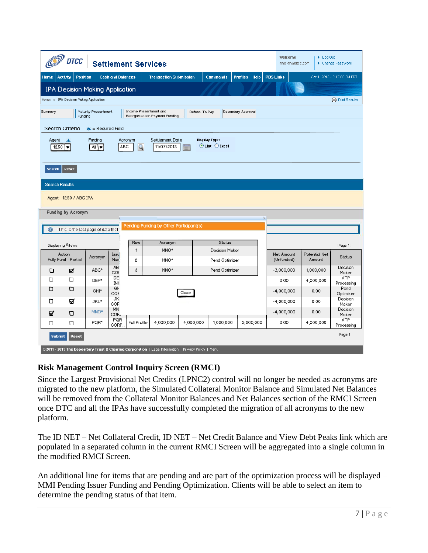| Welcome<br>$\blacktriangleright$ Log Out<br><b>DTCC</b><br><b>Settlement Services</b><br>▶ Change Password<br>amoran@dtcc.com<br><b>Help</b>                                                                          |                              |                                         |           |                                  |              |                    |                   |                      |               |  |  |  |  |
|-----------------------------------------------------------------------------------------------------------------------------------------------------------------------------------------------------------------------|------------------------------|-----------------------------------------|-----------|----------------------------------|--------------|--------------------|-------------------|----------------------|---------------|--|--|--|--|
| <b>Cash and Balances</b><br><b>Position</b><br><b>Home</b><br><b>Activity</b>                                                                                                                                         | <b>PBS Links</b>             |                                         |           | Oct 1, 2013 - 3:17:00 PM EDT     |              |                    |                   |                      |               |  |  |  |  |
| <b>IPA Decision Making Application</b>                                                                                                                                                                                |                              |                                         |           |                                  |              |                    |                   |                      |               |  |  |  |  |
| Home > IPA Decision Making Application<br>Print Results                                                                                                                                                               |                              |                                         |           |                                  |              |                    |                   |                      |               |  |  |  |  |
| Maturity Presentment<br>Income Presentment and<br>Summary<br>Secondary Approval<br>Refusal To Pay<br>Reorganization Payment Funding<br>Funding                                                                        |                              |                                         |           |                                  |              |                    |                   |                      |               |  |  |  |  |
| Search Criteria<br>$* =$ Required Field                                                                                                                                                                               |                              |                                         |           |                                  |              |                    |                   |                      |               |  |  |  |  |
| Funding<br>Settlement Date<br><b>Display Type</b><br>Agent<br>Acronym<br>$*$<br>$\odot$ List $\odot$ Excel<br>$\mathcal{Q}$<br>ABC<br>11/07/2013<br>1250<br>$\overline{\phantom{a}}$<br>All $\blacktriangledown$<br>m |                              |                                         |           |                                  |              |                    |                   |                      |               |  |  |  |  |
| Reset<br><b>Search</b>                                                                                                                                                                                                |                              |                                         |           |                                  |              |                    |                   |                      |               |  |  |  |  |
| <b>Search Results</b>                                                                                                                                                                                                 |                              |                                         |           |                                  |              |                    |                   |                      |               |  |  |  |  |
| Agent: 1250 / ABC IPA                                                                                                                                                                                                 |                              |                                         |           |                                  |              |                    |                   |                      |               |  |  |  |  |
| Funding by Acronym                                                                                                                                                                                                    |                              |                                         |           |                                  |              |                    |                   |                      |               |  |  |  |  |
|                                                                                                                                                                                                                       |                              | Pending Funding by Other Participant(s) |           |                                  |              | $G$                |                   |                      |               |  |  |  |  |
| This is the last page of data that                                                                                                                                                                                    |                              |                                         |           |                                  |              |                    |                   |                      |               |  |  |  |  |
| Displaying 6 items                                                                                                                                                                                                    | Row                          | Acronym                                 |           | <b>Status</b>                    |              |                    |                   |                      | Page 1        |  |  |  |  |
| Action<br>Acronym                                                                                                                                                                                                     | 1<br>Issu                    | MNO*                                    |           | <b>Decision Maker</b>            |              |                    | Net Amount        | <b>Potential Net</b> | <b>Status</b> |  |  |  |  |
| Fully Fund Partial                                                                                                                                                                                                    | Nan<br>$\overline{2}$<br>AB  | MNO*                                    |           | Pend Optimizer<br>Pend Optimizer |              |                    | (Unfunded)        | Amount               | Decision      |  |  |  |  |
| ABC*<br>☑<br>о                                                                                                                                                                                                        | 3<br>COF<br>DE               | MNO*                                    |           |                                  | $-3,000,000$ | 1,000,000          | Maker<br>ATP      |                      |               |  |  |  |  |
| □<br>□<br>DEF*<br>O                                                                                                                                                                                                   | <b>INC</b><br>GH             |                                         |           | 0.00                             | 4,000,000    | Processing<br>Pend |                   |                      |               |  |  |  |  |
| o<br>GHI*                                                                                                                                                                                                             | COF                          | Close                                   |           | $-4,000,000$                     | 0.00         | Optimizer          |                   |                      |               |  |  |  |  |
| ☑<br>O<br>JKL*                                                                                                                                                                                                        | JK<br>COR                    |                                         |           |                                  | $-4,000,000$ | 0.00               | Decision<br>Maker |                      |               |  |  |  |  |
| MNO*<br>O<br>☑                                                                                                                                                                                                        | MN<br>COR.                   |                                         |           |                                  | $-4,000,000$ | 0.00               | Decision<br>Maker |                      |               |  |  |  |  |
| PQR*<br>□<br>$\Box$                                                                                                                                                                                                   | PQR<br>Full Profile<br>CORP. | 4,000,000                               | 4,000,000 | 3,000,000                        | 0.00         | 4,000,000          | ATP<br>Processing |                      |               |  |  |  |  |
| Page 1<br><b>Reset</b><br><b>Submit</b><br>© 2011 - 2013 The Depository Trust & Clearing Corporation   Legal Information   Privacy Policy   Menu                                                                      |                              |                                         |           |                                  |              |                    |                   |                      |               |  |  |  |  |

## **Risk Management Control Inquiry Screen (RMCI)**

Since the Largest Provisional Net Credits (LPNC2) control will no longer be needed as acronyms are migrated to the new platform, the Simulated Collateral Monitor Balance and Simulated Net Balances will be removed from the Collateral Monitor Balances and Net Balances section of the RMCI Screen once DTC and all the IPAs have successfully completed the migration of all acronyms to the new platform.

The ID NET – Net Collateral Credit, ID NET – Net Credit Balance and View Debt Peaks link which are populated in a separated column in the current RMCI Screen will be aggregated into a single column in the modified RMCI Screen.

An additional line for items that are pending and are part of the optimization process will be displayed – MMI Pending Issuer Funding and Pending Optimization. Clients will be able to select an item to determine the pending status of that item.